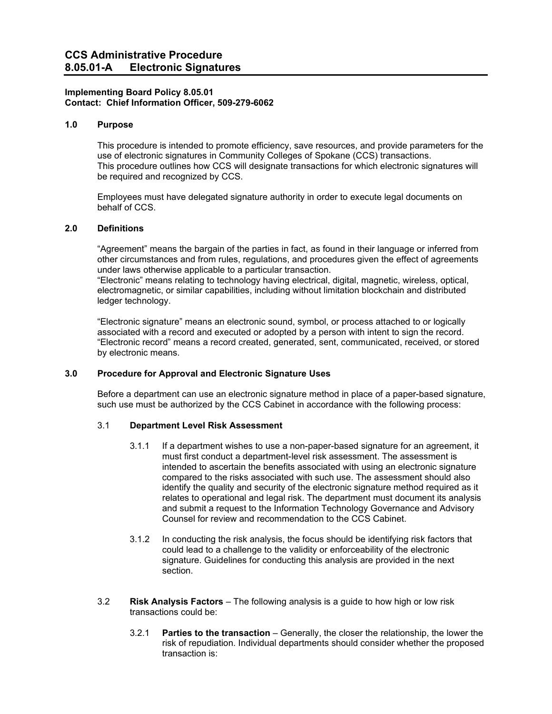# **Implementing Board Policy 8.05.01 Contact: Chief Information Officer, 509-279-6062**

# **1.0 Purpose**

This procedure is intended to promote efficiency, save resources, and provide parameters for the use of electronic signatures in Community Colleges of Spokane (CCS) transactions. This procedure outlines how CCS will designate transactions for which electronic signatures will be required and recognized by CCS.

Employees must have delegated signature authority in order to execute legal documents on behalf of CCS.

# **2.0 Definitions**

"Agreement" means the bargain of the parties in fact, as found in their language or inferred from other circumstances and from rules, regulations, and procedures given the effect of agreements under laws otherwise applicable to a particular transaction.

"Electronic" means relating to technology having electrical, digital, magnetic, wireless, optical, electromagnetic, or similar capabilities, including without limitation blockchain and distributed ledger technology.

"Electronic signature" means an electronic sound, symbol, or process attached to or logically associated with a record and executed or adopted by a person with intent to sign the record. "Electronic record" means a record created, generated, sent, communicated, received, or stored by electronic means.

#### **3.0 Procedure for Approval and Electronic Signature Uses**

Before a department can use an electronic signature method in place of a paper-based signature, such use must be authorized by the CCS Cabinet in accordance with the following process:

#### 3.1 **Department Level Risk Assessment**

- 3.1.1 If a department wishes to use a non-paper-based signature for an agreement, it must first conduct a department-level risk assessment. The assessment is intended to ascertain the benefits associated with using an electronic signature compared to the risks associated with such use. The assessment should also identify the quality and security of the electronic signature method required as it relates to operational and legal risk. The department must document its analysis and submit a request to the Information Technology Governance and Advisory Counsel for review and recommendation to the CCS Cabinet.
- 3.1.2 In conducting the risk analysis, the focus should be identifying risk factors that could lead to a challenge to the validity or enforceability of the electronic signature. Guidelines for conducting this analysis are provided in the next section.
- 3.2 **Risk Analysis Factors** The following analysis is a guide to how high or low risk transactions could be:
	- 3.2.1 **Parties to the transaction** Generally, the closer the relationship, the lower the risk of repudiation. Individual departments should consider whether the proposed transaction is: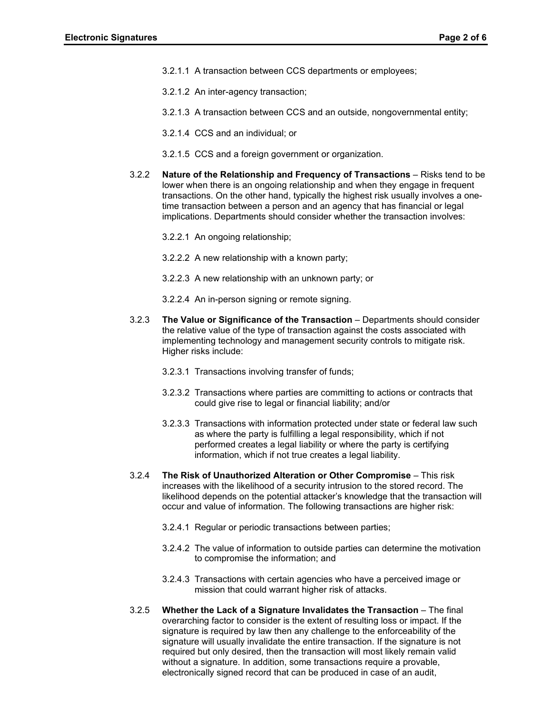- 3.2.1.1 A transaction between CCS departments or employees;
- 3.2.1.2 An inter-agency transaction;
- 3.2.1.3 A transaction between CCS and an outside, nongovernmental entity;
- 3.2.1.4 CCS and an individual; or
- 3.2.1.5 CCS and a foreign government or organization.
- 3.2.2 **Nature of the Relationship and Frequency of Transactions** Risks tend to be lower when there is an ongoing relationship and when they engage in frequent transactions. On the other hand, typically the highest risk usually involves a onetime transaction between a person and an agency that has financial or legal implications. Departments should consider whether the transaction involves:
	- 3.2.2.1 An ongoing relationship;
	- 3.2.2.2 A new relationship with a known party;
	- 3.2.2.3 A new relationship with an unknown party; or
	- 3.2.2.4 An in-person signing or remote signing.
- 3.2.3 **The Value or Significance of the Transaction** Departments should consider the relative value of the type of transaction against the costs associated with implementing technology and management security controls to mitigate risk. Higher risks include:
	- 3.2.3.1 Transactions involving transfer of funds;
	- 3.2.3.2 Transactions where parties are committing to actions or contracts that could give rise to legal or financial liability; and/or
	- 3.2.3.3 Transactions with information protected under state or federal law such as where the party is fulfilling a legal responsibility, which if not performed creates a legal liability or where the party is certifying information, which if not true creates a legal liability.
- 3.2.4 **The Risk of Unauthorized Alteration or Other Compromise** This risk increases with the likelihood of a security intrusion to the stored record. The likelihood depends on the potential attacker's knowledge that the transaction will occur and value of information. The following transactions are higher risk:
	- 3.2.4.1 Regular or periodic transactions between parties;
	- 3.2.4.2 The value of information to outside parties can determine the motivation to compromise the information; and
	- 3.2.4.3 Transactions with certain agencies who have a perceived image or mission that could warrant higher risk of attacks.
- 3.2.5 **Whether the Lack of a Signature Invalidates the Transaction** The final overarching factor to consider is the extent of resulting loss or impact. If the signature is required by law then any challenge to the enforceability of the signature will usually invalidate the entire transaction. If the signature is not required but only desired, then the transaction will most likely remain valid without a signature. In addition, some transactions require a provable, electronically signed record that can be produced in case of an audit,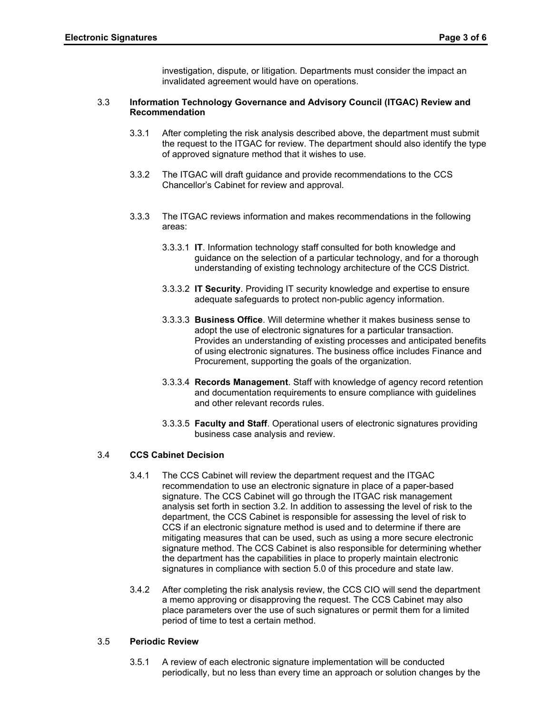investigation, dispute, or litigation. Departments must consider the impact an invalidated agreement would have on operations.

# 3.3 **Information Technology Governance and Advisory Council (ITGAC) Review and Recommendation**

- 3.3.1 After completing the risk analysis described above, the department must submit the request to the ITGAC for review. The department should also identify the type of approved signature method that it wishes to use.
- 3.3.2 The ITGAC will draft guidance and provide recommendations to the CCS Chancellor's Cabinet for review and approval.
- 3.3.3 The ITGAC reviews information and makes recommendations in the following areas:
	- 3.3.3.1 **IT**. Information technology staff consulted for both knowledge and guidance on the selection of a particular technology, and for a thorough understanding of existing technology architecture of the CCS District.
	- 3.3.3.2 **IT Security**. Providing IT security knowledge and expertise to ensure adequate safeguards to protect non-public agency information.
	- 3.3.3.3 **Business Office**. Will determine whether it makes business sense to adopt the use of electronic signatures for a particular transaction. Provides an understanding of existing processes and anticipated benefits of using electronic signatures. The business office includes Finance and Procurement, supporting the goals of the organization.
	- 3.3.3.4 **Records Management**. Staff with knowledge of agency record retention and documentation requirements to ensure compliance with guidelines and other relevant records rules.
	- 3.3.3.5 **Faculty and Staff**. Operational users of electronic signatures providing business case analysis and review.

# 3.4 **CCS Cabinet Decision**

- 3.4.1 The CCS Cabinet will review the department request and the ITGAC recommendation to use an electronic signature in place of a paper-based signature. The CCS Cabinet will go through the ITGAC risk management analysis set forth in section 3.2. In addition to assessing the level of risk to the department, the CCS Cabinet is responsible for assessing the level of risk to CCS if an electronic signature method is used and to determine if there are mitigating measures that can be used, such as using a more secure electronic signature method. The CCS Cabinet is also responsible for determining whether the department has the capabilities in place to properly maintain electronic signatures in compliance with section 5.0 of this procedure and state law.
- 3.4.2 After completing the risk analysis review, the CCS CIO will send the department a memo approving or disapproving the request. The CCS Cabinet may also place parameters over the use of such signatures or permit them for a limited period of time to test a certain method.

### 3.5 **Periodic Review**

3.5.1 A review of each electronic signature implementation will be conducted periodically, but no less than every time an approach or solution changes by the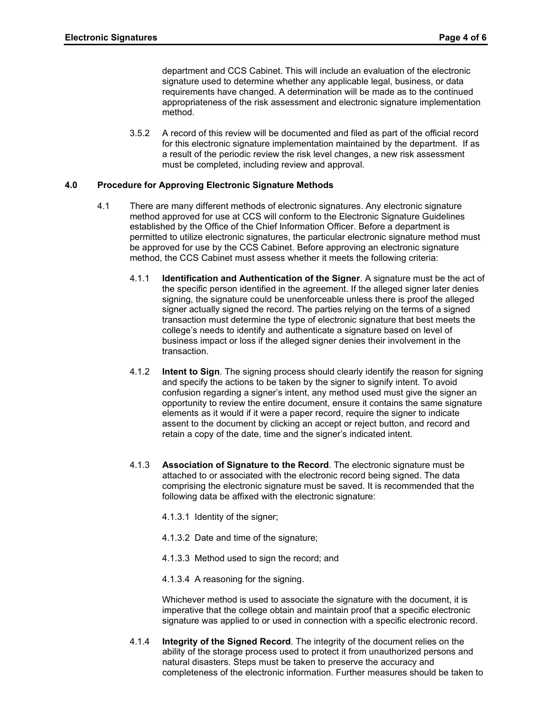department and CCS Cabinet. This will include an evaluation of the electronic signature used to determine whether any applicable legal, business, or data requirements have changed. A determination will be made as to the continued appropriateness of the risk assessment and electronic signature implementation method.

3.5.2 A record of this review will be documented and filed as part of the official record for this electronic signature implementation maintained by the department. If as a result of the periodic review the risk level changes, a new risk assessment must be completed, including review and approval.

# **4.0 Procedure for Approving Electronic Signature Methods**

- 4.1 There are many different methods of electronic signatures. Any electronic signature method approved for use at CCS will conform to the Electronic Signature Guidelines established by the Office of the Chief Information Officer. Before a department is permitted to utilize electronic signatures, the particular electronic signature method must be approved for use by the CCS Cabinet. Before approving an electronic signature method, the CCS Cabinet must assess whether it meets the following criteria:
	- 4.1.1 **Identification and Authentication of the Signer**. A signature must be the act of the specific person identified in the agreement. If the alleged signer later denies signing, the signature could be unenforceable unless there is proof the alleged signer actually signed the record. The parties relying on the terms of a signed transaction must determine the type of electronic signature that best meets the college's needs to identify and authenticate a signature based on level of business impact or loss if the alleged signer denies their involvement in the transaction.
	- 4.1.2 **Intent to Sign**. The signing process should clearly identify the reason for signing and specify the actions to be taken by the signer to signify intent. To avoid confusion regarding a signer's intent, any method used must give the signer an opportunity to review the entire document, ensure it contains the same signature elements as it would if it were a paper record, require the signer to indicate assent to the document by clicking an accept or reject button, and record and retain a copy of the date, time and the signer's indicated intent.
	- 4.1.3 **Association of Signature to the Record**. The electronic signature must be attached to or associated with the electronic record being signed. The data comprising the electronic signature must be saved. It is recommended that the following data be affixed with the electronic signature:
		- 4.1.3.1 Identity of the signer;
		- 4.1.3.2 Date and time of the signature;
		- 4.1.3.3 Method used to sign the record; and
		- 4.1.3.4 A reasoning for the signing.

Whichever method is used to associate the signature with the document, it is imperative that the college obtain and maintain proof that a specific electronic signature was applied to or used in connection with a specific electronic record.

4.1.4 **Integrity of the Signed Record**. The integrity of the document relies on the ability of the storage process used to protect it from unauthorized persons and natural disasters. Steps must be taken to preserve the accuracy and completeness of the electronic information. Further measures should be taken to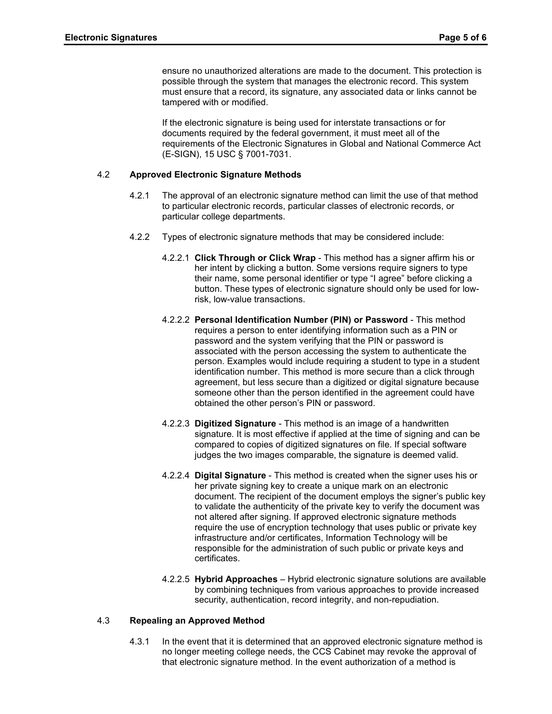ensure no unauthorized alterations are made to the document. This protection is possible through the system that manages the electronic record. This system must ensure that a record, its signature, any associated data or links cannot be tampered with or modified.

If the electronic signature is being used for interstate transactions or for documents required by the federal government, it must meet all of the requirements of the Electronic Signatures in Global and National Commerce Act (E-SIGN), 15 USC § 7001-7031.

#### 4.2 **Approved Electronic Signature Methods**

- 4.2.1 The approval of an electronic signature method can limit the use of that method to particular electronic records, particular classes of electronic records, or particular college departments.
- 4.2.2 Types of electronic signature methods that may be considered include:
	- 4.2.2.1 **Click Through or Click Wrap** This method has a signer affirm his or her intent by clicking a button. Some versions require signers to type their name, some personal identifier or type "I agree" before clicking a button. These types of electronic signature should only be used for lowrisk, low-value transactions.
	- 4.2.2.2 **Personal Identification Number (PIN) or Password** This method requires a person to enter identifying information such as a PIN or password and the system verifying that the PIN or password is associated with the person accessing the system to authenticate the person. Examples would include requiring a student to type in a student identification number. This method is more secure than a click through agreement, but less secure than a digitized or digital signature because someone other than the person identified in the agreement could have obtained the other person's PIN or password.
	- 4.2.2.3 **Digitized Signature** This method is an image of a handwritten signature. It is most effective if applied at the time of signing and can be compared to copies of digitized signatures on file. If special software judges the two images comparable, the signature is deemed valid.
	- 4.2.2.4 **Digital Signature** This method is created when the signer uses his or her private signing key to create a unique mark on an electronic document. The recipient of the document employs the signer's public key to validate the authenticity of the private key to verify the document was not altered after signing. If approved electronic signature methods require the use of encryption technology that uses public or private key infrastructure and/or certificates, Information Technology will be responsible for the administration of such public or private keys and certificates.
	- 4.2.2.5 **Hybrid Approaches**  Hybrid electronic signature solutions are available by combining techniques from various approaches to provide increased security, authentication, record integrity, and non-repudiation.

### 4.3 **Repealing an Approved Method**

4.3.1 In the event that it is determined that an approved electronic signature method is no longer meeting college needs, the CCS Cabinet may revoke the approval of that electronic signature method. In the event authorization of a method is